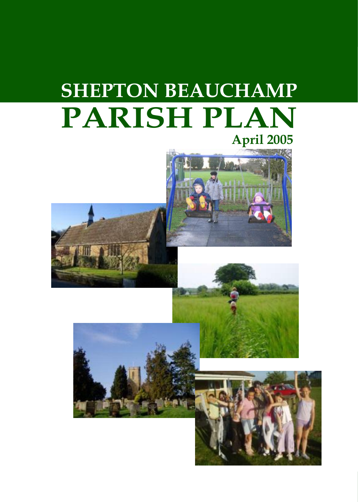## **SHEPTON BEAUCHAMP PARISH PLAN April 2005**





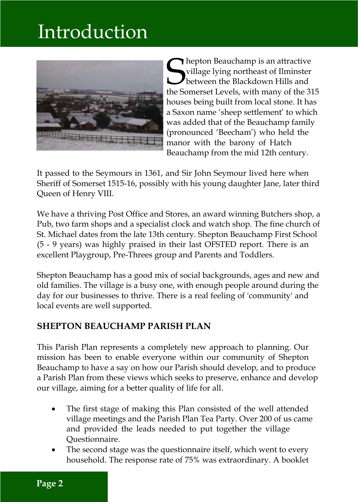## Introduction



Shepton Beauchamp is an attractive<br>
village lying northeast of Ilminster<br>
the Somerset Levels, with many of the 319 village lying northeast of Ilminster  $\blacktriangleright$  between the Blackdown Hills and the Somerset Levels, with many of the 315 houses being built from local stone. It has a Saxon name 'sheep settlement' to which was added that of the Beauchamp family (pronounced 'Beecham') who held the manor with the barony of Hatch Beauchamp from the mid 12th century.

It passed to the Seymours in 1361, and Sir John Seymour lived here when Sheriff of Somerset 1515-16, possibly with his young daughter Jane, later third Queen of Henry VIII.

We have a thriving Post Office and Stores, an award winning Butchers shop, a Pub, two farm shops and a specialist clock and watch shop. The fine church of St. Michael dates from the late 13th century. Shepton Beauchamp First School (5 - 9 years) was highly praised in their last OFSTED report. There is an excellent Playgroup, Pre-Threes group and Parents and Toddlers.

Shepton Beauchamp has a good mix of social backgrounds, ages and new and old families. The village is a busy one, with enough people around during the day for our businesses to thrive. There is a real feeling of 'community' and local events are well supported.

#### **SHEPTON BEAUCHAMP PARISH PLAN**

This Parish Plan represents a completely new approach to planning. Our mission has been to enable everyone within our community of Shepton Beauchamp to have a say on how our Parish should develop, and to produce a Parish Plan from these views which seeks to preserve, enhance and develop our village, aiming for a better quality of life for all.

- The first stage of making this Plan consisted of the well attended village meetings and the Parish Plan Tea Party. Over 200 of us came and provided the leads needed to put together the village Questionnaire.
- The second stage was the questionnaire itself, which went to every household. The response rate of 75% was extraordinary. A booklet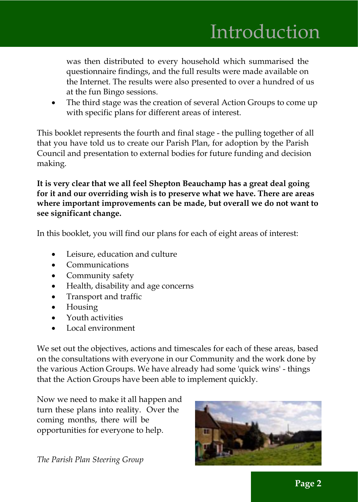was then distributed to every household which summarised the questionnaire findings, and the full results were made available on the Internet. The results were also presented to over a hundred of us at the fun Bingo sessions.

The third stage was the creation of several Action Groups to come up with specific plans for different areas of interest.

This booklet represents the fourth and final stage - the pulling together of all that you have told us to create our Parish Plan, for adoption by the Parish Council and presentation to external bodies for future funding and decision making.

**It is very clear that we all feel Shepton Beauchamp has a great deal going for it and our overriding wish is to preserve what we have. There are areas where important improvements can be made, but overall we do not want to see significant change.**

In this booklet, you will find our plans for each of eight areas of interest:

- Leisure, education and culture
- · Communications
- Community safety
- · Health, disability and age concerns
- · Transport and traffic
- Housing
- · Youth activities
- Local environment

We set out the objectives, actions and timescales for each of these areas, based on the consultations with everyone in our Community and the work done by the various Action Groups. We have already had some 'quick wins' - things that the Action Groups have been able to implement quickly.

Now we need to make it all happen and turn these plans into reality. Over the coming months, there will be opportunities for everyone to help.



*The Parish Plan Steering Group*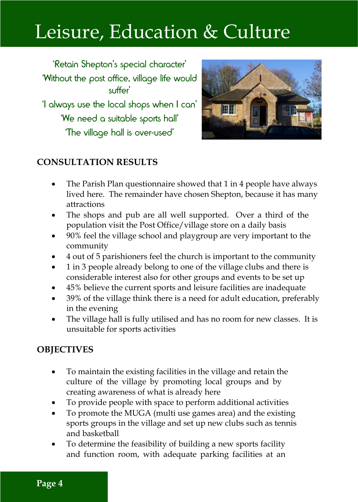# Leisure, Education & Culture

'Retain Shepton's special character' 'Without the post office, village life would suffer' 'I always use the local shops when I can' 'We need a suitable sports hall' 'The village hall is over-used'



### **CONSULTATION RESULTS**

- · The Parish Plan questionnaire showed that 1 in 4 people have always lived here. The remainder have chosen Shepton, because it has many attractions
- The shops and pub are all well supported. Over a third of the population visit the Post Office/village store on a daily basis
- · 90% feel the village school and playgroup are very important to the community
- · 4 out of 5 parishioners feel the church is important to the community
- · 1 in 3 people already belong to one of the village clubs and there is considerable interest also for other groups and events to be set up
- · 45% believe the current sports and leisure facilities are inadequate
- · 39% of the village think there is a need for adult education, preferably in the evening
- The village hall is fully utilised and has no room for new classes. It is unsuitable for sports activities

#### **OBJECTIVES**

- · To maintain the existing facilities in the village and retain the culture of the village by promoting local groups and by creating awareness of what is already here
- To provide people with space to perform additional activities
- To promote the MUGA (multi use games area) and the existing sports groups in the village and set up new clubs such as tennis and basketball
- · To determine the feasibility of building a new sports facility and function room, with adequate parking facilities at an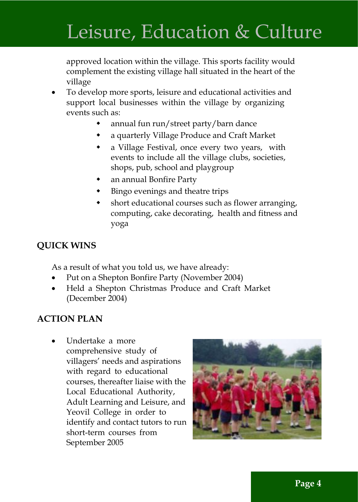## Leisure, Education & Culture

approved location within the village. This sports facility would complement the existing village hall situated in the heart of the village

- · To develop more sports, leisure and educational activities and support local businesses within the village by organizing events such as:
	- annual fun run/street party/barn dance
	- a quarterly Village Produce and Craft Market
	- a Village Festival, once every two years, with events to include all the village clubs, societies, shops, pub, school and playgroup
	- an annual Bonfire Party
	- $\bullet$  Bingo evenings and theatre trips
	- short educational courses such as flower arranging, computing, cake decorating, health and fitness and yoga

### **QUICK WINS**

As a result of what you told us, we have already:

- Put on a Shepton Bonfire Party (November 2004)
- · Held a Shepton Christmas Produce and Craft Market (December 2004)

#### **ACTION PLAN**

Undertake a more comprehensive study of villagers' needs and aspirations with regard to educational courses, thereafter liaise with the Local Educational Authority, Adult Learning and Leisure, and Yeovil College in order to identify and contact tutors to run short-term courses from September 2005

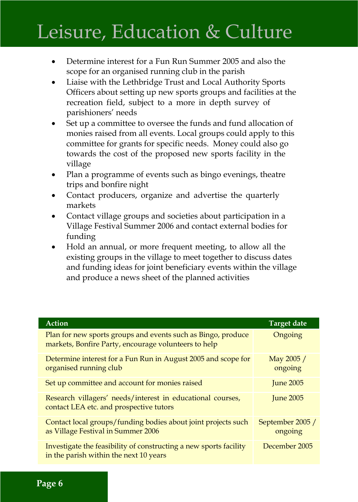## Leisure, Education & Culture

- · Determine interest for a Fun Run Summer 2005 and also the scope for an organised running club in the parish
- Liaise with the Lethbridge Trust and Local Authority Sports Officers about setting up new sports groups and facilities at the recreation field, subject to a more in depth survey of parishioners' needs
- Set up a committee to oversee the funds and fund allocation of monies raised from all events. Local groups could apply to this committee for grants for specific needs. Money could also go towards the cost of the proposed new sports facility in the village
- Plan a programme of events such as bingo evenings, theatre trips and bonfire night
- Contact producers, organize and advertise the quarterly markets
- Contact village groups and societies about participation in a Village Festival Summer 2006 and contact external bodies for funding
- Hold an annual, or more frequent meeting, to allow all the existing groups in the village to meet together to discuss dates and funding ideas for joint beneficiary events within the village and produce a news sheet of the planned activities

| Action                                                                                                               | Target date                 |
|----------------------------------------------------------------------------------------------------------------------|-----------------------------|
| Plan for new sports groups and events such as Bingo, produce<br>markets, Bonfire Party, encourage volunteers to help | Ongoing                     |
| Determine interest for a Fun Run in August 2005 and scope for<br>organised running club                              | May 2005 /<br>ongoing       |
| Set up committee and account for monies raised                                                                       | <b>June 2005</b>            |
| Research villagers' needs/interest in educational courses,<br>contact LEA etc. and prospective tutors                | <b>June 2005</b>            |
| Contact local groups/funding bodies about joint projects such<br>as Village Festival in Summer 2006                  | September 2005 /<br>ongoing |
| Investigate the feasibility of constructing a new sports facility<br>in the parish within the next 10 years          | December 2005               |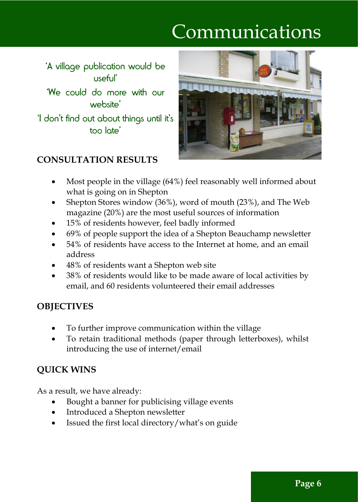# Communications

'A village publication would be useful' 'We could do more with our website' 'I don't find out about things until it's too late'



## **CONSULTATION RESULTS**

- Most people in the village (64%) feel reasonably well informed about what is going on in Shepton
- Shepton Stores window (36%), word of mouth (23%), and The Web magazine (20%) are the most useful sources of information
- 15% of residents however, feel badly informed
- · 69% of people support the idea of a Shepton Beauchamp newsletter
- · 54% of residents have access to the Internet at home, and an email address
- · 48% of residents want a Shepton web site
- · 38% of residents would like to be made aware of local activities by email, and 60 residents volunteered their email addresses

### **OBJECTIVES**

- To further improve communication within the village
- · To retain traditional methods (paper through letterboxes), whilst introducing the use of internet/email

### **QUICK WINS**

As a result, we have already:

- Bought a banner for publicising village events
- · Introduced a Shepton newsletter
- · Issued the first local directory/what's on guide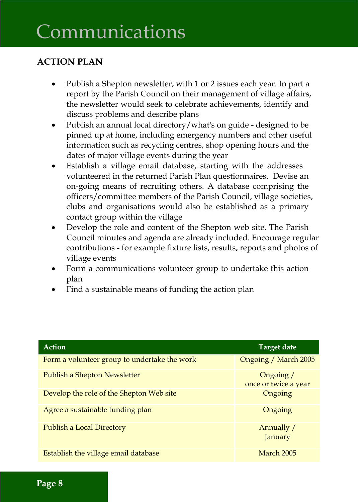## Communications

## **ACTION PLAN**

- · Publish a Shepton newsletter, with 1 or 2 issues each year. In part a report by the Parish Council on their management of village affairs, the newsletter would seek to celebrate achievements, identify and discuss problems and describe plans
- Publish an annual local directory/what's on guide designed to be pinned up at home, including emergency numbers and other useful information such as recycling centres, shop opening hours and the dates of major village events during the year
- · Establish a village email database, starting with the addresses volunteered in the returned Parish Plan questionnaires. Devise an on-going means of recruiting others. A database comprising the officers/committee members of the Parish Council, village societies, clubs and organisations would also be established as a primary contact group within the village
- Develop the role and content of the Shepton web site. The Parish Council minutes and agenda are already included. Encourage regular contributions - for example fixture lists, results, reports and photos of village events
- Form a communications volunteer group to undertake this action plan
- Find a sustainable means of funding the action plan

| Action                                       | Target date                       |
|----------------------------------------------|-----------------------------------|
| Form a volunteer group to undertake the work | Ongoing / March 2005              |
| Publish a Shepton Newsletter                 | Ongoing /<br>once or twice a year |
| Develop the role of the Shepton Web site     | Ongoing                           |
| Agree a sustainable funding plan             | Ongoing                           |
| Publish a Local Directory                    | Annually /<br>January             |
| Establish the village email database         | March 2005                        |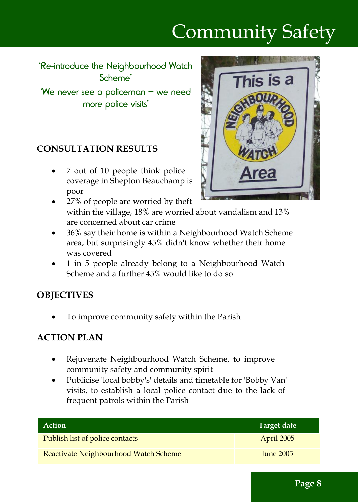# Community Safety

'Re-introduce the Neighbourhood Watch Scheme'

'We never see a policeman – we need more police visits'

#### **CONSULTATION RESULTS**

· 7 out of 10 people think police coverage in Shepton Beauchamp is poor



- · 27% of people are worried by theft within the village, 18% are worried about vandalism and 13% are concerned about car crime
- · 36% say their home is within a Neighbourhood Watch Scheme area, but surprisingly 45% didn't know whether their home was covered
- · 1 in 5 people already belong to a Neighbourhood Watch Scheme and a further 45% would like to do so

#### **OBJECTIVES**

To improve community safety within the Parish

#### **ACTION PLAN**

- · Rejuvenate Neighbourhood Watch Scheme, to improve community safety and community spirit
- · Publicise 'local bobby's' details and timetable for 'Bobby Van' visits, to establish a local police contact due to the lack of frequent patrols within the Parish

| Action                                | Target date |
|---------------------------------------|-------------|
| Publish list of police contacts       | April 2005  |
| Reactivate Neighbourhood Watch Scheme | June $2005$ |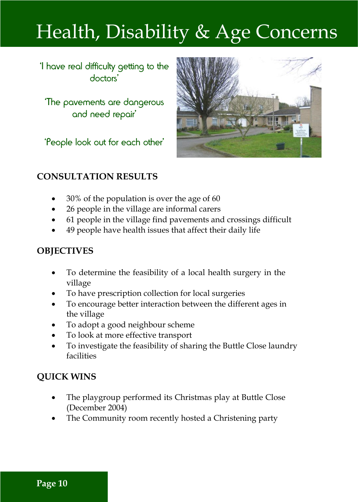# Health, Disability & Age Concerns

'I have real difficulty getting to the doctors'

'The pavements are dangerous and need repair'

'People look out for each other'



#### **CONSULTATION RESULTS**

- · 30% of the population is over the age of 60
- · 26 people in the village are informal carers
- · 61 people in the village find pavements and crossings difficult
- · 49 people have health issues that affect their daily life

#### **OBJECTIVES**

- To determine the feasibility of a local health surgery in the village
- To have prescription collection for local surgeries
- · To encourage better interaction between the different ages in the village
- · To adopt a good neighbour scheme
- To look at more effective transport
- · To investigate the feasibility of sharing the Buttle Close laundry facilities

### **QUICK WINS**

- The playgroup performed its Christmas play at Buttle Close (December 2004)
- The Community room recently hosted a Christening party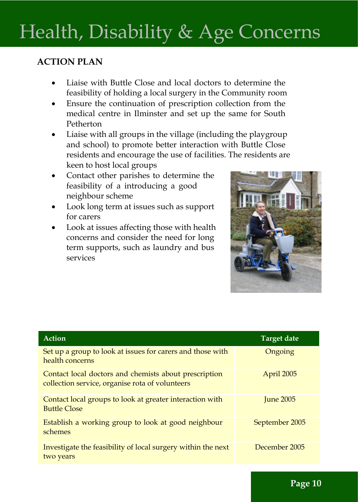# Health, Disability & Age Concerns

## **ACTION PLAN**

- Liaise with Buttle Close and local doctors to determine the feasibility of holding a local surgery in the Community room
- · Ensure the continuation of prescription collection from the medical centre in Ilminster and set up the same for South Petherton
- Liaise with all groups in the village (including the playgroup and school) to promote better interaction with Buttle Close residents and encourage the use of facilities. The residents are keen to host local groups
- Contact other parishes to determine the feasibility of a introducing a good neighbour scheme
- Look long term at issues such as support for carers
- · Look at issues affecting those with health concerns and consider the need for long term supports, such as laundry and bus services



| <b>Action</b>                                                                                            | <b>Target date</b> |
|----------------------------------------------------------------------------------------------------------|--------------------|
| Set up a group to look at issues for carers and those with<br>health concerns                            | Ongoing            |
| Contact local doctors and chemists about prescription<br>collection service, organise rota of volunteers | April 2005         |
| Contact local groups to look at greater interaction with<br><b>Buttle Close</b>                          | <b>Iune 2005</b>   |
| Establish a working group to look at good neighbour<br>schemes                                           | September 2005     |
| Investigate the feasibility of local surgery within the next<br>two years                                | December 2005      |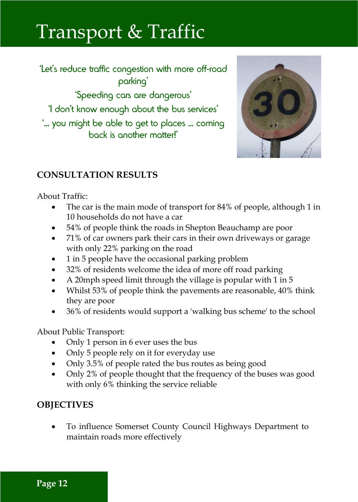## Transport & Traffic

'Let's reduce traffic congestion with more off-road parking' 'Speeding cars are dangerous' 'I don't know enough about the bus services' '... you might be able to get to places ... coming back is another matter!'



### **CONSULTATION RESULTS**

About Traffic:

- The car is the main mode of transport for 84% of people, although 1 in 10 households do not have a car
- 54% of people think the roads in Shepton Beauchamp are poor
- · 71% of car owners park their cars in their own driveways or garage with only 22% parking on the road
- · 1 in 5 people have the occasional parking problem
- 32% of residents welcome the idea of more off road parking
- · A 20mph speed limit through the village is popular with 1 in 5
- · Whilst 53% of people think the pavements are reasonable, 40% think they are poor
- · 36% of residents would support a 'walking bus scheme' to the school

About Public Transport:

- · Only 1 person in 6 ever uses the bus
- · Only 5 people rely on it for everyday use
- Only 3.5% of people rated the bus routes as being good
- · Only 2% of people thought that the frequency of the buses was good with only 6% thinking the service reliable

### **OBJECTIVES**

To influence Somerset County Council Highways Department to maintain roads more effectively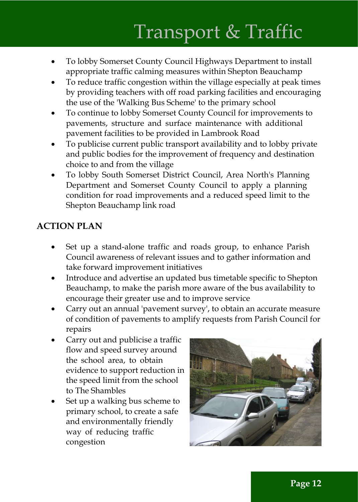# Transport & Traffic

- · To lobby Somerset County Council Highways Department to install appropriate traffic calming measures within Shepton Beauchamp
- To reduce traffic congestion within the village especially at peak times by providing teachers with off road parking facilities and encouraging the use of the 'Walking Bus Scheme' to the primary school
- · To continue to lobby Somerset County Council for improvements to pavements, structure and surface maintenance with additional pavement facilities to be provided in Lambrook Road
- · To publicise current public transport availability and to lobby private and public bodies for the improvement of frequency and destination choice to and from the village
- · To lobby South Somerset District Council, Area North's Planning Department and Somerset County Council to apply a planning condition for road improvements and a reduced speed limit to the Shepton Beauchamp link road

#### **ACTION PLAN**

- Set up a stand-alone traffic and roads group, to enhance Parish Council awareness of relevant issues and to gather information and take forward improvement initiatives
- Introduce and advertise an updated bus timetable specific to Shepton Beauchamp, to make the parish more aware of the bus availability to encourage their greater use and to improve service
- Carry out an annual 'pavement survey', to obtain an accurate measure of condition of pavements to amplify requests from Parish Council for repairs
- Carry out and publicise a traffic flow and speed survey around the school area, to obtain evidence to support reduction in the speed limit from the school to The Shambles
- Set up a walking bus scheme to primary school, to create a safe and environmentally friendly way of reducing traffic congestion

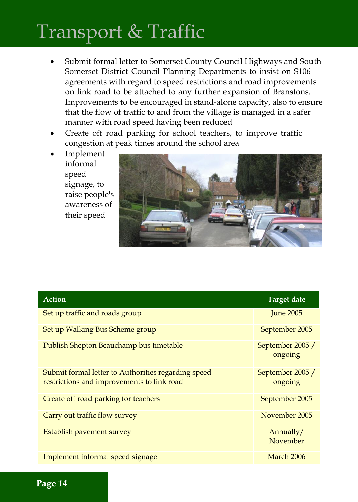## Transport & Traffic

- Submit formal letter to Somerset County Council Highways and South Somerset District Council Planning Departments to insist on S106 agreements with regard to speed restrictions and road improvements on link road to be attached to any further expansion of Branstons. Improvements to be encouraged in stand-alone capacity, also to ensure that the flow of traffic to and from the village is managed in a safer manner with road speed having been reduced
- Create off road parking for school teachers, to improve traffic congestion at peak times around the school area
- · Implement informal speed signage, to raise people's awareness of their speed



| <b>Action</b>                                                                                     | <b>Target date</b>          |
|---------------------------------------------------------------------------------------------------|-----------------------------|
| Set up traffic and roads group                                                                    | <b>Iune 2005</b>            |
| Set up Walking Bus Scheme group                                                                   | September 2005              |
| Publish Shepton Beauchamp bus timetable                                                           | September 2005 /<br>ongoing |
| Submit formal letter to Authorities regarding speed<br>restrictions and improvements to link road | September 2005 /<br>ongoing |
| Create off road parking for teachers                                                              | September 2005              |
| Carry out traffic flow survey                                                                     | November 2005               |
| Establish pavement survey                                                                         | Annually/<br>November       |
| Implement informal speed signage                                                                  | March 2006                  |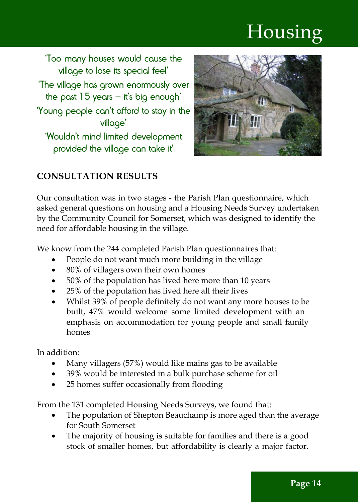# Housing

'Too many houses would cause the village to lose its special feel' 'The village has grown enormously over the past  $15$  years – it's big enough' 'Young people can't afford to stay in the village'

'Wouldn't mind limited development provided the village can take it'



## **CONSULTATION RESULTS**

Our consultation was in two stages - the Parish Plan questionnaire, which asked general questions on housing and a Housing Needs Survey undertaken by the Community Council for Somerset, which was designed to identify the need for affordable housing in the village.

We know from the 244 completed Parish Plan questionnaires that:

- People do not want much more building in the village
- · 80% of villagers own their own homes
- · 50% of the population has lived here more than 10 years
- · 25% of the population has lived here all their lives
- Whilst 39% of people definitely do not want any more houses to be built, 47% would welcome some limited development with an emphasis on accommodation for young people and small family homes

In addition:

- Many villagers (57%) would like mains gas to be available
- · 39% would be interested in a bulk purchase scheme for oil
- 25 homes suffer occasionally from flooding

From the 131 completed Housing Needs Surveys, we found that:

- The population of Shepton Beauchamp is more aged than the average for South Somerset
- The majority of housing is suitable for families and there is a good stock of smaller homes, but affordability is clearly a major factor.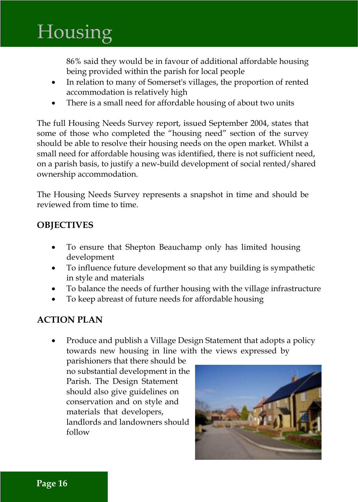# **Housing**

86% said they would be in favour of additional affordable housing being provided within the parish for local people

- · In relation to many of Somerset's villages, the proportion of rented accommodation is relatively high
- There is a small need for affordable housing of about two units

The full Housing Needs Survey report, issued September 2004, states that some of those who completed the "housing need" section of the survey should be able to resolve their housing needs on the open market. Whilst a small need for affordable housing was identified, there is not sufficient need, on a parish basis, to justify a new-build development of social rented/shared ownership accommodation.

The Housing Needs Survey represents a snapshot in time and should be reviewed from time to time.

#### **OBJECTIVES**

- · To ensure that Shepton Beauchamp only has limited housing development
- · To influence future development so that any building is sympathetic in style and materials
- To balance the needs of further housing with the village infrastructure
- · To keep abreast of future needs for affordable housing

#### **ACTION PLAN**

Produce and publish a Village Design Statement that adopts a policy towards new housing in line with the views expressed by

parishioners that there should be no substantial development in the Parish. The Design Statement should also give guidelines on conservation and on style and materials that developers, landlords and landowners should follow

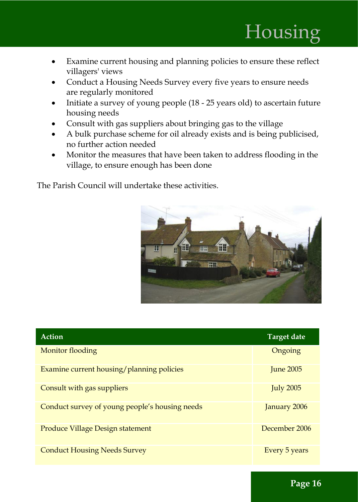- Examine current housing and planning policies to ensure these reflect villagers' views
- Conduct a Housing Needs Survey every five years to ensure needs are regularly monitored
- · Initiate a survey of young people (18 25 years old) to ascertain future housing needs
- Consult with gas suppliers about bringing gas to the village
- · A bulk purchase scheme for oil already exists and is being publicised, no further action needed
- · Monitor the measures that have been taken to address flooding in the village, to ensure enough has been done

The Parish Council will undertake these activities.



| Action                                         | Target date      |
|------------------------------------------------|------------------|
| Monitor flooding                               | Ongoing          |
| Examine current housing/planning policies      | <b>Iune 2005</b> |
| Consult with gas suppliers                     | <b>July 2005</b> |
| Conduct survey of young people's housing needs | January 2006     |
| Produce Village Design statement               | December 2006    |
| <b>Conduct Housing Needs Survey</b>            | Every 5 years    |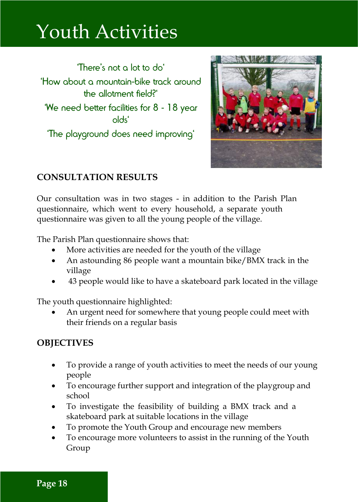## Youth Activities

'There's not a lot to do' 'How about a mountain-bike track around the allotment field?' 'We need better facilities for 8 - 18 year olds' 'The playground does need improving'



### **CONSULTATION RESULTS**

Our consultation was in two stages - in addition to the Parish Plan questionnaire, which went to every household, a separate youth questionnaire was given to all the young people of the village.

The Parish Plan questionnaire shows that:

- More activities are needed for the youth of the village
- An astounding 86 people want a mountain bike/BMX track in the village
- · 43 people would like to have a skateboard park located in the village

The youth questionnaire highlighted:

An urgent need for somewhere that young people could meet with their friends on a regular basis

#### **OBJECTIVES**

- · To provide a range of youth activities to meet the needs of our young people
- · To encourage further support and integration of the playgroup and school
- · To investigate the feasibility of building a BMX track and a skateboard park at suitable locations in the village
- · To promote the Youth Group and encourage new members
- · To encourage more volunteers to assist in the running of the Youth Group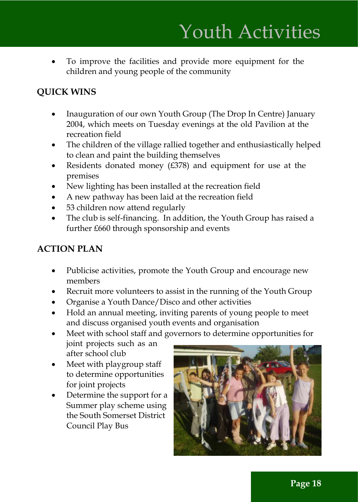To improve the facilities and provide more equipment for the children and young people of the community

## **QUICK WINS**

- · Inauguration of our own Youth Group (The Drop In Centre) January 2004, which meets on Tuesday evenings at the old Pavilion at the recreation field
- · The children of the village rallied together and enthusiastically helped to clean and paint the building themselves
- Residents donated money  $(E378)$  and equipment for use at the premises
- New lighting has been installed at the recreation field
- · A new pathway has been laid at the recreation field
- 53 children now attend regularly
- · The club is self-financing. In addition, the Youth Group has raised a further £660 through sponsorship and events

### **ACTION PLAN**

- Publicise activities, promote the Youth Group and encourage new members
- · Recruit more volunteers to assist in the running of the Youth Group
- · Organise a Youth Dance/Disco and other activities
- · Hold an annual meeting, inviting parents of young people to meet and discuss organised youth events and organisation

· Meet with school staff and governors to determine opportunities for

joint projects such as an after school club

- Meet with playgroup staff to determine opportunities for joint projects
- Determine the support for a Summer play scheme using the South Somerset District Council Play Bus

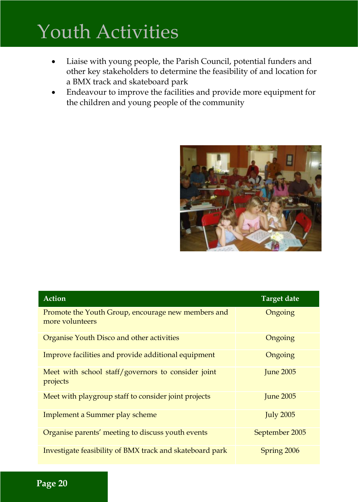# Youth Activities

- · Liaise with young people, the Parish Council, potential funders and other key stakeholders to determine the feasibility of and location for a BMX track and skateboard park
- · Endeavour to improve the facilities and provide more equipment for the children and young people of the community



| <b>Action</b>                                                         | <b>Target date</b> |
|-----------------------------------------------------------------------|--------------------|
| Promote the Youth Group, encourage new members and<br>more volunteers | Ongoing            |
| Organise Youth Disco and other activities                             | Ongoing            |
| Improve facilities and provide additional equipment                   | Ongoing            |
| Meet with school staff/governors to consider joint<br>projects        | <b>June 2005</b>   |
| Meet with playgroup staff to consider joint projects                  | <b>Iune 2005</b>   |
| Implement a Summer play scheme                                        | <b>July 2005</b>   |
| Organise parents' meeting to discuss youth events                     | September 2005     |
| Investigate feasibility of BMX track and skateboard park              | Spring 2006        |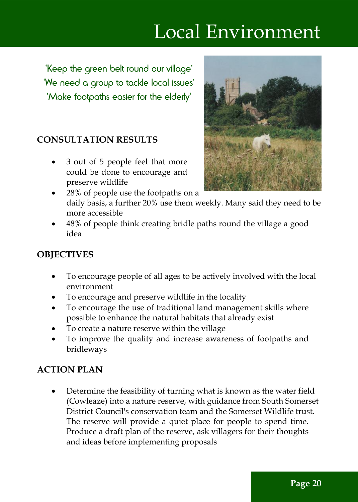## Local Environment

'Keep the green belt round our village' 'We need a group to tackle local issues' 'Make footpaths easier for the elderly'

#### **CONSULTATION RESULTS**

· 3 out of 5 people feel that more could be done to encourage and preserve wildlife



- 28% of people use the footpaths on a daily basis, a further 20% use them weekly. Many said they need to be more accessible
- · 48% of people think creating bridle paths round the village a good idea

### **OBJECTIVES**

- · To encourage people of all ages to be actively involved with the local environment
- · To encourage and preserve wildlife in the locality
- · To encourage the use of traditional land management skills where possible to enhance the natural habitats that already exist
- · To create a nature reserve within the village
- · To improve the quality and increase awareness of footpaths and bridleways

### **ACTION PLAN**

Determine the feasibility of turning what is known as the water field (Cowleaze) into a nature reserve, with guidance from South Somerset District Council's conservation team and the Somerset Wildlife trust. The reserve will provide a quiet place for people to spend time. Produce a draft plan of the reserve, ask villagers for their thoughts and ideas before implementing proposals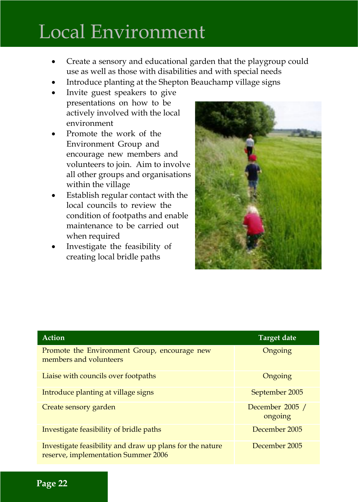## Local Environment

- Create a sensory and educational garden that the playgroup could use as well as those with disabilities and with special needs
- Introduce planting at the Shepton Beauchamp village signs
- · Invite guest speakers to give presentations on how to be actively involved with the local environment
- Promote the work of the Environment Group and encourage new members and volunteers to join. Aim to involve all other groups and organisations within the village
- Establish regular contact with the local councils to review the condition of footpaths and enable maintenance to be carried out when required
- · Investigate the feasibility of creating local bridle paths



| Action                                                                                          | <b>Target date</b>         |
|-------------------------------------------------------------------------------------------------|----------------------------|
| Promote the Environment Group, encourage new<br>members and volunteers                          | Ongoing                    |
| Liaise with councils over footpaths                                                             | Ongoing                    |
| Introduce planting at village signs                                                             | September 2005             |
| Create sensory garden                                                                           | December 2005 /<br>ongoing |
| Investigate feasibility of bridle paths                                                         | December 2005              |
| Investigate feasibility and draw up plans for the nature<br>reserve, implementation Summer 2006 | December 2005              |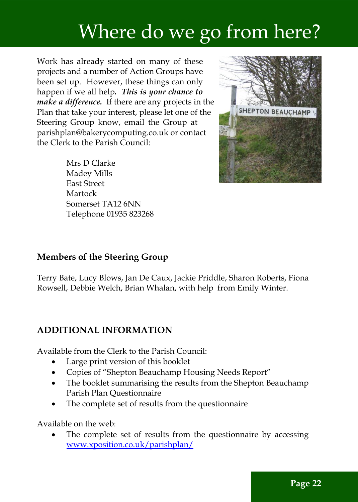## Where do we go from here?

Work has already started on many of these projects and a number of Action Groups have been set up. However, these things can only happen if we all help. This is your chance to *make a difference.* If there are any projects in the Plan that take your interest, please let one of the Steering Group know, email the Group at parishplan@bakerycomputing.co.uk or contact the Clerk to the Parish Council:

> Mrs D Clarke Madey Mills East Street Martock Somerset TA12 6NN Telephone 01935 823268



#### **Members of the Steering Group**

Terry Bate, Lucy Blows, Jan De Caux, Jackie Priddle, Sharon Roberts, Fiona Rowsell, Debbie Welch, Brian Whalan, with help from Emily Winter.

#### **ADDITIONAL INFORMATION**

Available from the Clerk to the Parish Council:

- Large print version of this booklet
- · Copies of "Shepton Beauchamp Housing Needs Report"
- The booklet summarising the results from the Shepton Beauchamp Parish Plan Questionnaire
- The complete set of results from the questionnaire

Available on the web:

The complete set of results from the questionnaire by accessing www.xposition.co.uk/parishplan/